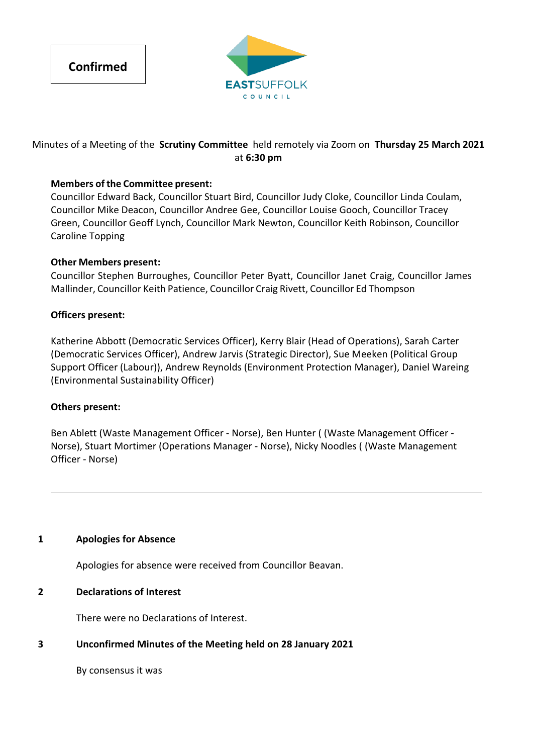



# Minutes of a Meeting of the **Scrutiny Committee** held remotely via Zoom on **Thursday 25 March 2021** at **6:30 pm**

# **Members of the Committee present:**

Councillor Edward Back, Councillor Stuart Bird, Councillor Judy Cloke, Councillor Linda Coulam, Councillor Mike Deacon, Councillor Andree Gee, Councillor Louise Gooch, Councillor Tracey Green, Councillor Geoff Lynch, Councillor Mark Newton, Councillor Keith Robinson, Councillor Caroline Topping

## **Other Members present:**

Councillor Stephen Burroughes, Councillor Peter Byatt, Councillor Janet Craig, Councillor James Mallinder, Councillor Keith Patience, Councillor Craig Rivett, Councillor Ed Thompson

## **Officers present:**

Katherine Abbott (Democratic Services Officer), Kerry Blair (Head of Operations), Sarah Carter (Democratic Services Officer), Andrew Jarvis (Strategic Director), Sue Meeken (Political Group Support Officer (Labour)), Andrew Reynolds (Environment Protection Manager), Daniel Wareing (Environmental Sustainability Officer)

## **Others present:**

Ben Ablett (Waste Management Officer ‐ Norse), Ben Hunter ( (Waste Management Officer ‐ Norse), Stuart Mortimer (Operations Manager ‐ Norse), Nicky Noodles ( (Waste Management Officer ‐ Norse)

## **1 Apologies for Absence**

Apologies for absence were received from Councillor Beavan.

## **2 Declarations of Interest**

There were no Declarations of Interest.

## **3 Unconfirmed Minutes of the Meeting held on 28 January 2021**

By consensus it was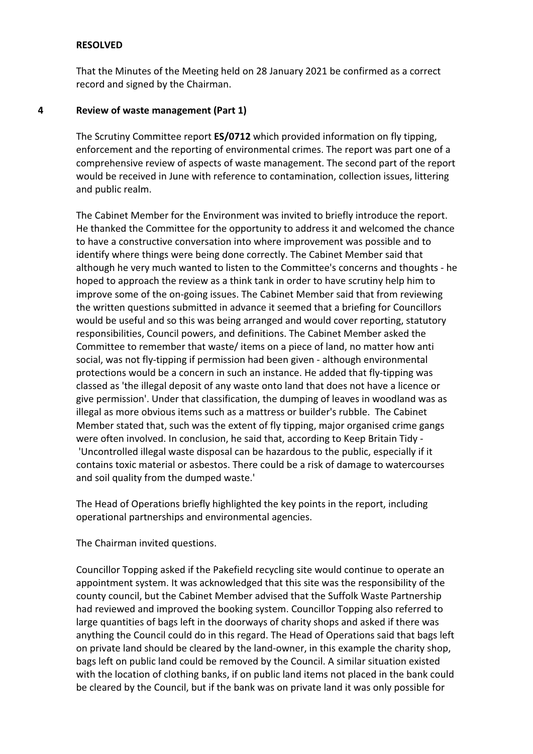### **RESOLVED**

That the Minutes of the Meeting held on 28 January 2021 be confirmed as a correct record and signed by the Chairman.

#### **4 Review of waste management (Part 1)**

The Scrutiny Committee report **ES/0712** which provided information on fly tipping, enforcement and the reporting of environmental crimes. The report was part one of a comprehensive review of aspects of waste management. The second part of the report would be received in June with reference to contamination, collection issues, littering and public realm.

The Cabinet Member for the Environment was invited to briefly introduce the report. He thanked the Committee for the opportunity to address it and welcomed the chance to have a constructive conversation into where improvement was possible and to identify where things were being done correctly. The Cabinet Member said that although he very much wanted to listen to the Committee's concerns and thoughts ‐ he hoped to approach the review as a think tank in order to have scrutiny help him to improve some of the on‐going issues. The Cabinet Member said that from reviewing the written questions submitted in advance it seemed that a briefing for Councillors would be useful and so this was being arranged and would cover reporting, statutory responsibilities, Council powers, and definitions. The Cabinet Member asked the Committee to remember that waste/ items on a piece of land, no matter how anti social, was not fly‐tipping if permission had been given ‐ although environmental protections would be a concern in such an instance. He added that fly‐tipping was classed as 'the illegal deposit of any waste onto land that does not have a licence or give permission'. Under that classification, the dumping of leaves in woodland was as illegal as more obvious items such as a mattress or builder's rubble. The Cabinet Member stated that, such was the extent of fly tipping, major organised crime gangs were often involved. In conclusion, he said that, according to Keep Britain Tidy -'Uncontrolled illegal waste disposal can be hazardous to the public, especially if it contains toxic material or asbestos. There could be a risk of damage to watercourses and soil quality from the dumped waste.'

The Head of Operations briefly highlighted the key points in the report, including operational partnerships and environmental agencies.

The Chairman invited questions.

Councillor Topping asked if the Pakefield recycling site would continue to operate an appointment system. It was acknowledged that this site was the responsibility of the county council, but the Cabinet Member advised that the Suffolk Waste Partnership had reviewed and improved the booking system. Councillor Topping also referred to large quantities of bags left in the doorways of charity shops and asked if there was anything the Council could do in this regard. The Head of Operations said that bags left on private land should be cleared by the land‐owner, in this example the charity shop, bags left on public land could be removed by the Council. A similar situation existed with the location of clothing banks, if on public land items not placed in the bank could be cleared by the Council, but if the bank was on private land it was only possible for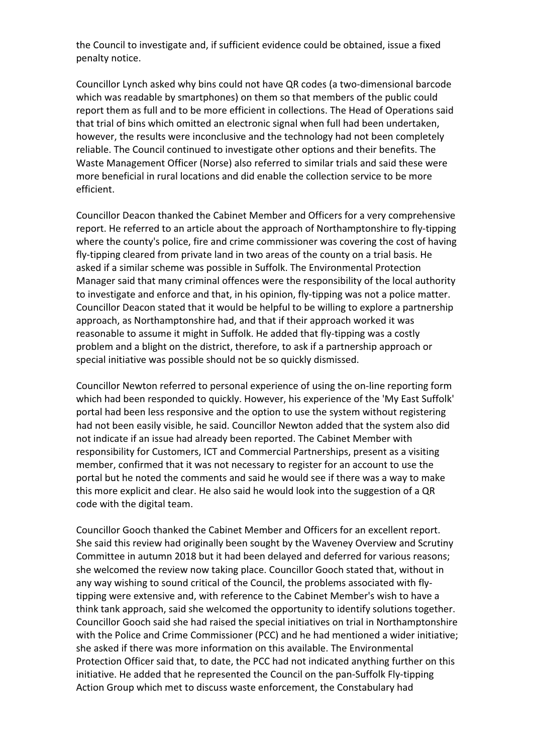the Council to investigate and, if sufficient evidence could be obtained, issue a fixed penalty notice.

Councillor Lynch asked why bins could not have QR codes (a two‐dimensional barcode which was readable by smartphones) on them so that members of the public could report them as full and to be more efficient in collections. The Head of Operations said that trial of bins which omitted an electronic signal when full had been undertaken, however, the results were inconclusive and the technology had not been completely reliable. The Council continued to investigate other options and their benefits. The Waste Management Officer (Norse) also referred to similar trials and said these were more beneficial in rural locations and did enable the collection service to be more efficient.

Councillor Deacon thanked the Cabinet Member and Officers for a very comprehensive report. He referred to an article about the approach of Northamptonshire to fly‐tipping where the county's police, fire and crime commissioner was covering the cost of having fly-tipping cleared from private land in two areas of the county on a trial basis. He asked if a similar scheme was possible in Suffolk. The Environmental Protection Manager said that many criminal offences were the responsibility of the local authority to investigate and enforce and that, in his opinion, fly‐tipping was not a police matter. Councillor Deacon stated that it would be helpful to be willing to explore a partnership approach, as Northamptonshire had, and that if their approach worked it was reasonable to assume it might in Suffolk. He added that fly‐tipping was a costly problem and a blight on the district, therefore, to ask if a partnership approach or special initiative was possible should not be so quickly dismissed.

Councillor Newton referred to personal experience of using the on‐line reporting form which had been responded to quickly. However, his experience of the 'My East Suffolk' portal had been less responsive and the option to use the system without registering had not been easily visible, he said. Councillor Newton added that the system also did not indicate if an issue had already been reported. The Cabinet Member with responsibility for Customers, ICT and Commercial Partnerships, present as a visiting member, confirmed that it was not necessary to register for an account to use the portal but he noted the comments and said he would see if there was a way to make this more explicit and clear. He also said he would look into the suggestion of a QR code with the digital team.

Councillor Gooch thanked the Cabinet Member and Officers for an excellent report. She said this review had originally been sought by the Waveney Overview and Scrutiny Committee in autumn 2018 but it had been delayed and deferred for various reasons; she welcomed the review now taking place. Councillor Gooch stated that, without in any way wishing to sound critical of the Council, the problems associated with fly‐ tipping were extensive and, with reference to the Cabinet Member's wish to have a think tank approach, said she welcomed the opportunity to identify solutions together. Councillor Gooch said she had raised the special initiatives on trial in Northamptonshire with the Police and Crime Commissioner (PCC) and he had mentioned a wider initiative; she asked if there was more information on this available. The Environmental Protection Officer said that, to date, the PCC had not indicated anything further on this initiative. He added that he represented the Council on the pan‐Suffolk Fly‐tipping Action Group which met to discuss waste enforcement, the Constabulary had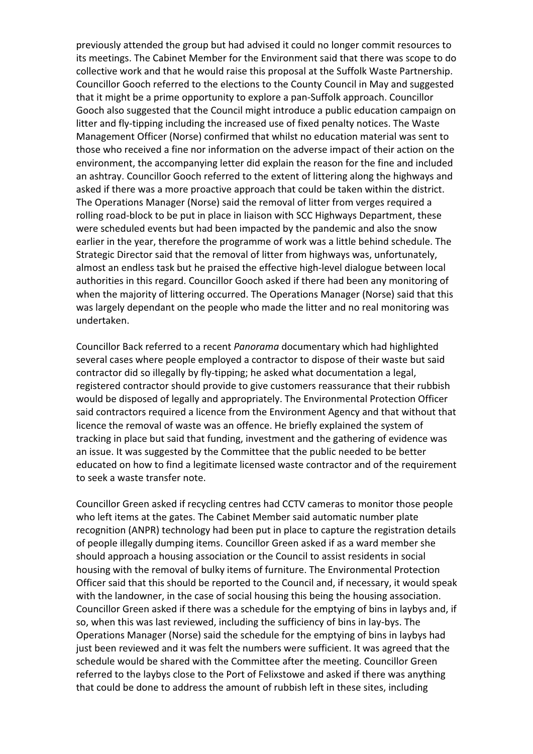previously attended the group but had advised it could no longer commit resources to its meetings. The Cabinet Member for the Environment said that there was scope to do collective work and that he would raise this proposal at the Suffolk Waste Partnership. Councillor Gooch referred to the elections to the County Council in May and suggested that it might be a prime opportunity to explore a pan‐Suffolk approach. Councillor Gooch also suggested that the Council might introduce a public education campaign on litter and fly-tipping including the increased use of fixed penalty notices. The Waste Management Officer (Norse) confirmed that whilst no education material was sent to those who received a fine nor information on the adverse impact of their action on the environment, the accompanying letter did explain the reason for the fine and included an ashtray. Councillor Gooch referred to the extent of littering along the highways and asked if there was a more proactive approach that could be taken within the district. The Operations Manager (Norse) said the removal of litter from verges required a rolling road‐block to be put in place in liaison with SCC Highways Department, these were scheduled events but had been impacted by the pandemic and also the snow earlier in the year, therefore the programme of work was a little behind schedule. The Strategic Director said that the removal of litter from highways was, unfortunately, almost an endless task but he praised the effective high‐level dialogue between local authorities in this regard. Councillor Gooch asked if there had been any monitoring of when the majority of littering occurred. The Operations Manager (Norse) said that this was largely dependant on the people who made the litter and no real monitoring was undertaken.

Councillor Back referred to a recent *Panorama* documentary which had highlighted several cases where people employed a contractor to dispose of their waste but said contractor did so illegally by fly‐tipping; he asked what documentation a legal, registered contractor should provide to give customers reassurance that their rubbish would be disposed of legally and appropriately. The Environmental Protection Officer said contractors required a licence from the Environment Agency and that without that licence the removal of waste was an offence. He briefly explained the system of tracking in place but said that funding, investment and the gathering of evidence was an issue. It was suggested by the Committee that the public needed to be better educated on how to find a legitimate licensed waste contractor and of the requirement to seek a waste transfer note.

Councillor Green asked if recycling centres had CCTV cameras to monitor those people who left items at the gates. The Cabinet Member said automatic number plate recognition (ANPR) technology had been put in place to capture the registration details of people illegally dumping items. Councillor Green asked if as a ward member she should approach a housing association or the Council to assist residents in social housing with the removal of bulky items of furniture. The Environmental Protection Officer said that this should be reported to the Council and, if necessary, it would speak with the landowner, in the case of social housing this being the housing association. Councillor Green asked if there was a schedule for the emptying of bins in laybys and, if so, when this was last reviewed, including the sufficiency of bins in lay‐bys. The Operations Manager (Norse) said the schedule for the emptying of bins in laybys had just been reviewed and it was felt the numbers were sufficient. It was agreed that the schedule would be shared with the Committee after the meeting. Councillor Green referred to the laybys close to the Port of Felixstowe and asked if there was anything that could be done to address the amount of rubbish left in these sites, including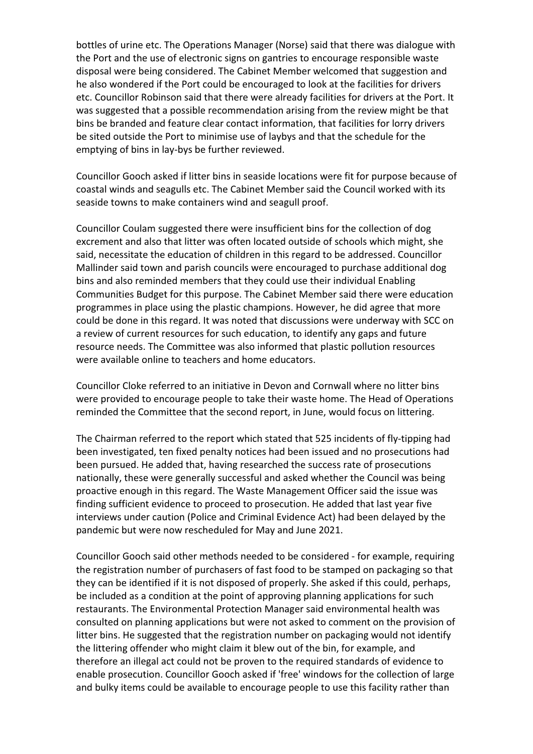bottles of urine etc. The Operations Manager (Norse) said that there was dialogue with the Port and the use of electronic signs on gantries to encourage responsible waste disposal were being considered. The Cabinet Member welcomed that suggestion and he also wondered if the Port could be encouraged to look at the facilities for drivers etc. Councillor Robinson said that there were already facilities for drivers at the Port. It was suggested that a possible recommendation arising from the review might be that bins be branded and feature clear contact information, that facilities for lorry drivers be sited outside the Port to minimise use of laybys and that the schedule for the emptying of bins in lay‐bys be further reviewed.

Councillor Gooch asked if litter bins in seaside locations were fit for purpose because of coastal winds and seagulls etc. The Cabinet Member said the Council worked with its seaside towns to make containers wind and seagull proof.

Councillor Coulam suggested there were insufficient bins for the collection of dog excrement and also that litter was often located outside of schools which might, she said, necessitate the education of children in this regard to be addressed. Councillor Mallinder said town and parish councils were encouraged to purchase additional dog bins and also reminded members that they could use their individual Enabling Communities Budget for this purpose. The Cabinet Member said there were education programmes in place using the plastic champions. However, he did agree that more could be done in this regard. It was noted that discussions were underway with SCC on a review of current resources for such education, to identify any gaps and future resource needs. The Committee was also informed that plastic pollution resources were available online to teachers and home educators.

Councillor Cloke referred to an initiative in Devon and Cornwall where no litter bins were provided to encourage people to take their waste home. The Head of Operations reminded the Committee that the second report, in June, would focus on littering.

The Chairman referred to the report which stated that 525 incidents of fly-tipping had been investigated, ten fixed penalty notices had been issued and no prosecutions had been pursued. He added that, having researched the success rate of prosecutions nationally, these were generally successful and asked whether the Council was being proactive enough in this regard. The Waste Management Officer said the issue was finding sufficient evidence to proceed to prosecution. He added that last year five interviews under caution (Police and Criminal Evidence Act) had been delayed by the pandemic but were now rescheduled for May and June 2021.

Councillor Gooch said other methods needed to be considered ‐ for example, requiring the registration number of purchasers of fast food to be stamped on packaging so that they can be identified if it is not disposed of properly. She asked if this could, perhaps, be included as a condition at the point of approving planning applications for such restaurants. The Environmental Protection Manager said environmental health was consulted on planning applications but were not asked to comment on the provision of litter bins. He suggested that the registration number on packaging would not identify the littering offender who might claim it blew out of the bin, for example, and therefore an illegal act could not be proven to the required standards of evidence to enable prosecution. Councillor Gooch asked if 'free' windows for the collection of large and bulky items could be available to encourage people to use this facility rather than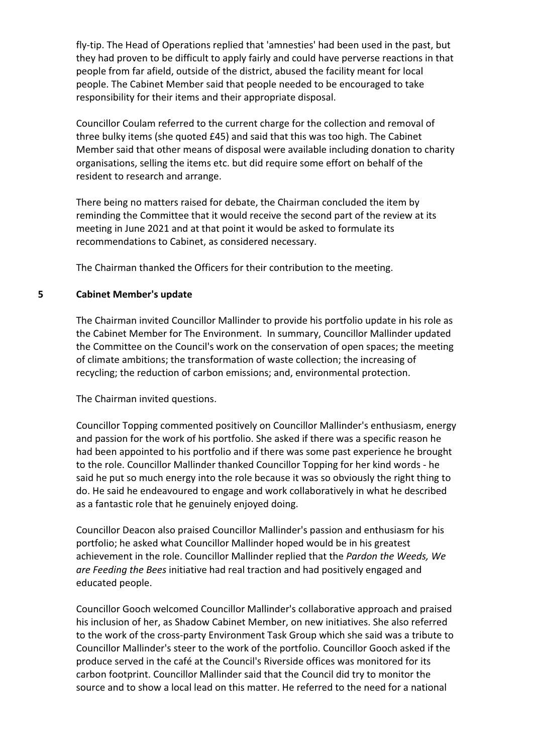fly‐tip. The Head of Operations replied that 'amnesties' had been used in the past, but they had proven to be difficult to apply fairly and could have perverse reactions in that people from far afield, outside of the district, abused the facility meant for local people. The Cabinet Member said that people needed to be encouraged to take responsibility for their items and their appropriate disposal.

Councillor Coulam referred to the current charge for the collection and removal of three bulky items (she quoted £45) and said that this was too high. The Cabinet Member said that other means of disposal were available including donation to charity organisations, selling the items etc. but did require some effort on behalf of the resident to research and arrange.

There being no matters raised for debate, the Chairman concluded the item by reminding the Committee that it would receive the second part of the review at its meeting in June 2021 and at that point it would be asked to formulate its recommendations to Cabinet, as considered necessary.

The Chairman thanked the Officers for their contribution to the meeting.

#### **5 Cabinet Member's update**

The Chairman invited Councillor Mallinder to provide his portfolio update in his role as the Cabinet Member for The Environment. In summary, Councillor Mallinder updated the Committee on the Council's work on the conservation of open spaces; the meeting of climate ambitions; the transformation of waste collection; the increasing of recycling; the reduction of carbon emissions; and, environmental protection.

The Chairman invited questions.

Councillor Topping commented positively on Councillor Mallinder's enthusiasm, energy and passion for the work of his portfolio. She asked if there was a specific reason he had been appointed to his portfolio and if there was some past experience he brought to the role. Councillor Mallinder thanked Councillor Topping for her kind words ‐ he said he put so much energy into the role because it was so obviously the right thing to do. He said he endeavoured to engage and work collaboratively in what he described as a fantastic role that he genuinely enjoyed doing.

Councillor Deacon also praised Councillor Mallinder's passion and enthusiasm for his portfolio; he asked what Councillor Mallinder hoped would be in his greatest achievement in the role. Councillor Mallinder replied that the *Pardon the Weeds, We are Feeding the Bees* initiative had real traction and had positively engaged and educated people.

Councillor Gooch welcomed Councillor Mallinder's collaborative approach and praised his inclusion of her, as Shadow Cabinet Member, on new initiatives. She also referred to the work of the cross‐party Environment Task Group which she said was a tribute to Councillor Mallinder's steer to the work of the portfolio. Councillor Gooch asked if the produce served in the café at the Council's Riverside offices was monitored for its carbon footprint. Councillor Mallinder said that the Council did try to monitor the source and to show a local lead on this matter. He referred to the need for a national